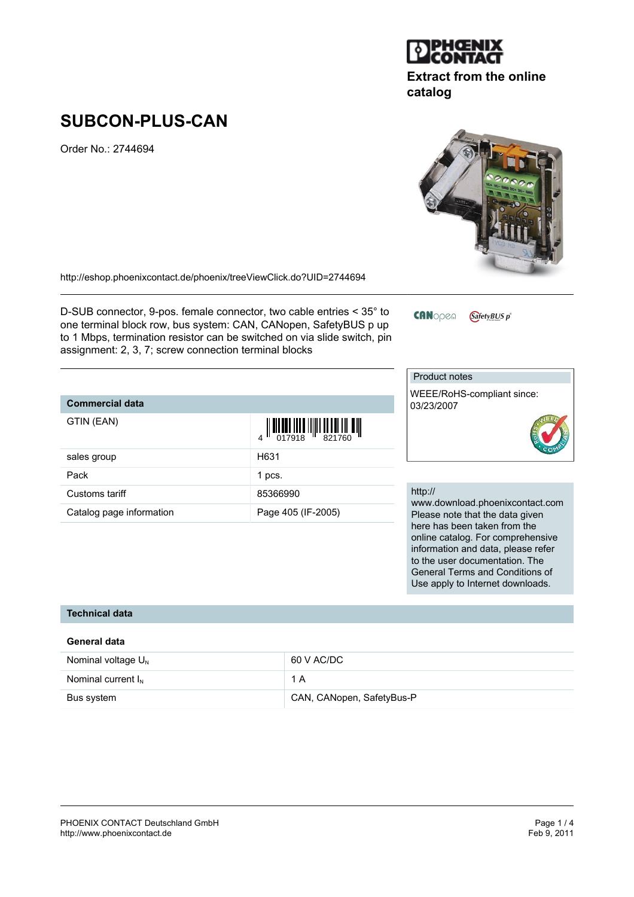

Order No.: 2744694

<http://eshop.phoenixcontact.de/phoenix/treeViewClick.do?UID=2744694>

D-SUB connector, 9-pos. female connector, two cable entries < 35° to one terminal block row, bus system: CAN, CANopen, SafetyBUS p up to 1 Mbps, termination resistor can be switched on via slide switch, pin assignment: 2, 3, 7; screw connection terminal blocks

## Product notes

**CANopen** 

http://

WEEE/RoHS-compliant since: 03/23/2007

GafetyBUS p<sup>®</sup>

www.download.phoenixcontact.com Please note that the data given here has been taken from the online catalog. For comprehensive information and data, please refer to the user documentation. The General Terms and Conditions of Use apply to Internet downloads.



**General data**

**Commercial data**

GTIN (EAN)

| Vominal voltage U <sub>N</sub> |  |
|--------------------------------|--|
|                                |  |

| Nominal voltage $U_{N}$ | 60 V AC/DC                |
|-------------------------|---------------------------|
| Nominal current $I_{N}$ | 1 A                       |
| Bus system              | CAN, CANopen, SafetyBus-P |



| <b>UIIII</b> 14/11/      | $\left\  \right. \left\  \right. \left\  \right. \left\  \right. \left\  \right. \left\  \right. \left\  \right. \left\  \right. \left\  \right. \left\  \right. \left\  \right. \left\  \right. \left\  \right. \left\  \right. \left\  \right. \left\  \right. \left\  \right. \left\  \right. \left\  \right. \left\  \right. \left\  \right. \left\  \right. \left\  \right. \left\  \right. \left\  \right. \left\  \right. \left\  \right. \left\  \right. \left\  \right. \left\  \right. \left\  \right. \left\$ |
|--------------------------|--------------------------------------------------------------------------------------------------------------------------------------------------------------------------------------------------------------------------------------------------------------------------------------------------------------------------------------------------------------------------------------------------------------------------------------------------------------------------------------------------------------------------|
| sales group              | H631                                                                                                                                                                                                                                                                                                                                                                                                                                                                                                                     |
| Pack                     | 1 pcs.                                                                                                                                                                                                                                                                                                                                                                                                                                                                                                                   |
| Customs tariff           | 85366990                                                                                                                                                                                                                                                                                                                                                                                                                                                                                                                 |
| Catalog page information | Page 405 (IF-2005)                                                                                                                                                                                                                                                                                                                                                                                                                                                                                                       |
|                          |                                                                                                                                                                                                                                                                                                                                                                                                                                                                                                                          |

*<u>IL BIR DER IN R I HILL BER ELL I HE HILL</u>* 



**Extract from the online**

# **catalog**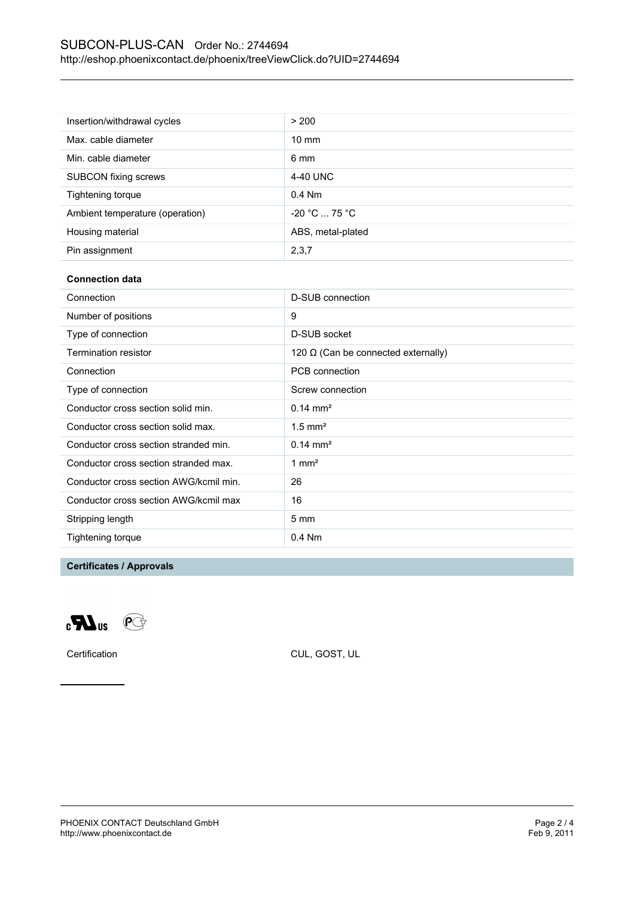| Insertion/withdrawal cycles     | > 200             |
|---------------------------------|-------------------|
| Max. cable diameter             | $10 \text{ mm}$   |
| Min. cable diameter             | 6 mm              |
| <b>SUBCON</b> fixing screws     | 4-40 UNC          |
| Tightening torque               | $0.4$ Nm          |
| Ambient temperature (operation) | $-20 °C  75 °C$   |
| Housing material                | ABS, metal-plated |
| Pin assignment                  | 2,3,7             |

#### **Connection data**

| Connection                             | D-SUB connection                           |
|----------------------------------------|--------------------------------------------|
| Number of positions                    | 9                                          |
| Type of connection                     | D-SUB socket                               |
| Termination resistor                   | 120 $\Omega$ (Can be connected externally) |
| Connection                             | PCB connection                             |
| Type of connection                     | Screw connection                           |
| Conductor cross section solid min.     | $0.14 \text{ mm}^2$                        |
| Conductor cross section solid max.     | $1.5$ mm <sup>2</sup>                      |
| Conductor cross section stranded min.  | $0.14 \text{ mm}^2$                        |
| Conductor cross section stranded max.  | 1 mm <sup>2</sup>                          |
| Conductor cross section AWG/kcmil min. | 26                                         |
| Conductor cross section AWG/kcmil max  | 16                                         |
| Stripping length                       | $5 \text{ mm}$                             |
| Tightening torque                      | $0.4$ Nm                                   |

### **Certificates / Approvals**



Certification CUL, GOST, UL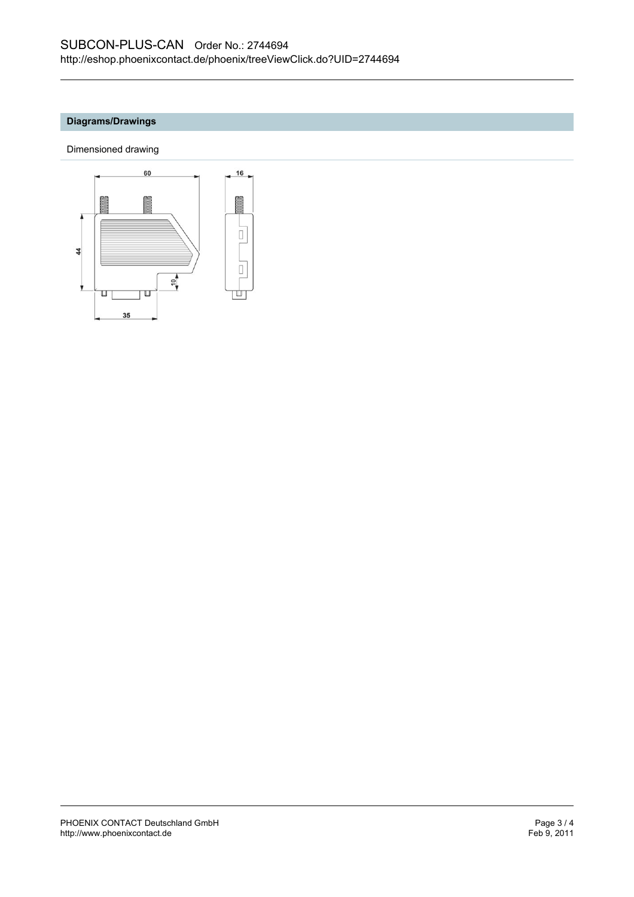#### **Diagrams/Drawings**

Dimensioned drawing